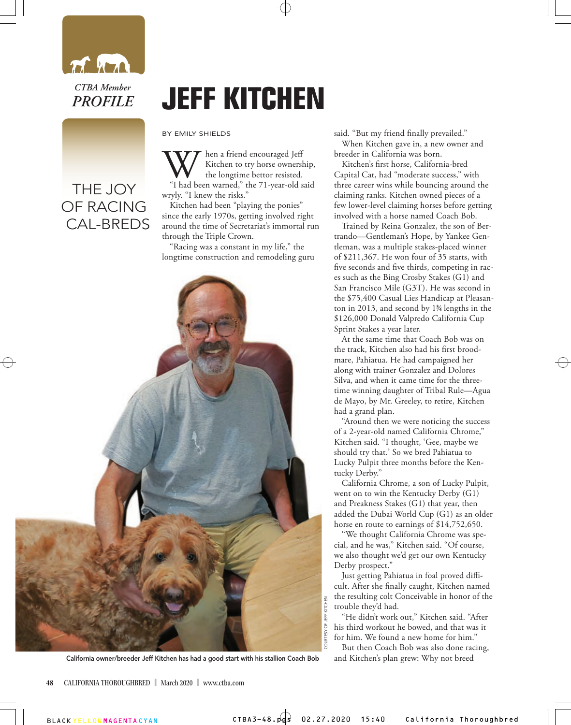

*CTBA Member PROFILE*

## THE JOY OF RACING CAL-BREDS

## **JEFF KITCHEN**

BY EMILY SHIELDS

When a friend encouraged Jeff<br>
Kitchen to try horse ownership,<br>
"I had been warned," the 71-year-old said Kitchen to try horse ownership, the longtime bettor resisted. wryly. "I knew the risks."

Kitchen had been "playing the ponies" since the early 1970s, getting involved right around the time of Secretariat's immortal run through the Triple Crown.

"Racing was a constant in my life," the longtime construction and remodeling guru



said. "But my friend finally prevailed."

When Kitchen gave in, a new owner and breeder in California was born.

Kitchen's first horse, California-bred Capital Cat, had "moderate success," with three career wins while bouncing around the claiming ranks. Kitchen owned pieces of a few lower-level claiming horses before getting involved with a horse named Coach Bob.

Trained by Reina Gonzalez, the son of Bertrando—Gentleman's Hope, by Yankee Gentleman, was a multiple stakes-placed winner of \$211,367. He won four of 35 starts, with five seconds and five thirds, competing in races such as the Bing Crosby Stakes (G1) and San Francisco Mile (G3T). He was second in the \$75,400 Casual Lies Handicap at Pleasanton in 2013, and second by 13 ⁄4 lengths in the \$126,000 Donald Valpredo California Cup Sprint Stakes a year later.

At the same time that Coach Bob was on the track, Kitchen also had his first broodmare, Pahiatua. He had campaigned her along with trainer Gonzalez and Dolores Silva, and when it came time for the threetime winning daughter of Tribal Rule—Agua de Mayo, by Mr. Greeley, to retire, Kitchen had a grand plan.

"Around then we were noticing the success of a 2-year-old named California Chrome," Kitchen said. "I thought, 'Gee, maybe we should try that.' So we bred Pahiatua to Lucky Pulpit three months before the Kentucky Derby."

California Chrome, a son of Lucky Pulpit, went on to win the Kentucky Derby (G1) and Preakness Stakes (G1) that year, then added the Dubai World Cup (G1) as an older horse en route to earnings of \$14,752,650.

"We thought California Chrome was special, and he was," Kitchen said. "Of course, we also thought we'd get our own Kentucky Derby prospect."

Just getting Pahiatua in foal proved difficult. After she finally caught, Kitchen named the resulting colt Conceivable in honor of the trouble they'd had.

"He didn't work out," Kitchen said. "After his third workout he bowed, and that was it for him. We found a new home for him."

But then Coach Bob was also done racing,